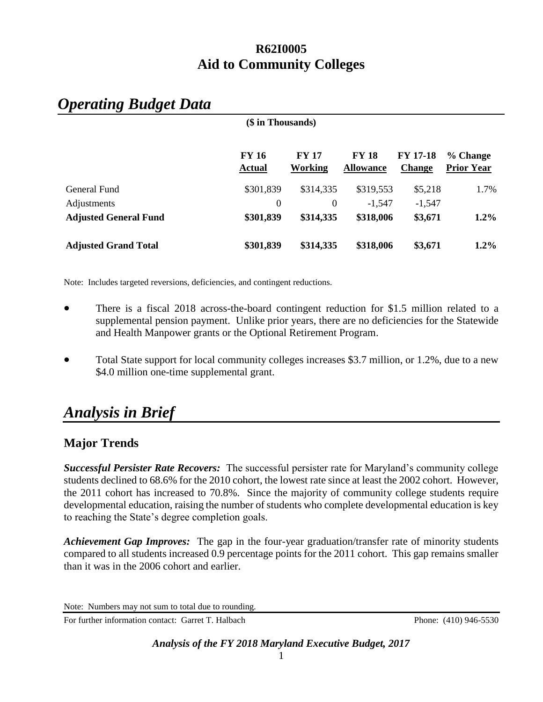# **(\$ in Thousands) FY 16 FY 17 FY 18 FY 17-18 % Change Actual Working Allowance Change Prior Year** General Fund  $$301,839$   $$314,335$   $$319,553$   $$5,218$  1.7% Adjustments 0 0 -1,547 -1,547 **Adjusted General Fund \$301,839 \$314,335 \$318,006 \$3,671 1.2% Adjusted Grand Total \$301,839 \$314,335 \$318,006 \$3,671 1.2%**

# *Operating Budget Data*

Note: Includes targeted reversions, deficiencies, and contingent reductions.

- There is a fiscal 2018 across-the-board contingent reduction for \$1.5 million related to a supplemental pension payment. Unlike prior years, there are no deficiencies for the Statewide and Health Manpower grants or the Optional Retirement Program.
- Total State support for local community colleges increases \$3.7 million, or 1.2%, due to a new \$4.0 million one-time supplemental grant.

# *Analysis in Brief*

# **Major Trends**

*Successful Persister Rate Recovers:* The successful persister rate for Maryland's community college students declined to 68.6% for the 2010 cohort, the lowest rate since at least the 2002 cohort. However, the 2011 cohort has increased to 70.8%. Since the majority of community college students require developmental education, raising the number of students who complete developmental education is key to reaching the State's degree completion goals.

*Achievement Gap Improves:* The gap in the four-year graduation/transfer rate of minority students compared to all students increased 0.9 percentage points for the 2011 cohort. This gap remains smaller than it was in the 2006 cohort and earlier.

For further information contact: Garret T. Halbach Phone: (410) 946-5530

Note: Numbers may not sum to total due to rounding.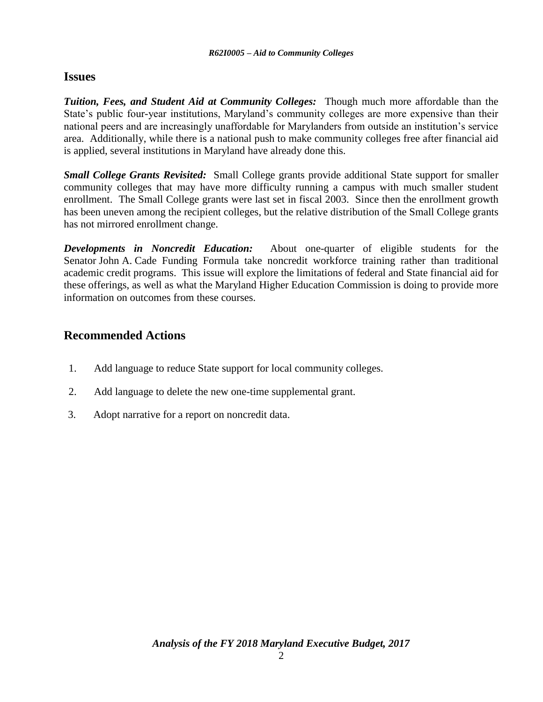# **Issues**

*Tuition, Fees, and Student Aid at Community Colleges:* Though much more affordable than the State's public four-year institutions, Maryland's community colleges are more expensive than their national peers and are increasingly unaffordable for Marylanders from outside an institution's service area. Additionally, while there is a national push to make community colleges free after financial aid is applied, several institutions in Maryland have already done this.

*Small College Grants Revisited:* Small College grants provide additional State support for smaller community colleges that may have more difficulty running a campus with much smaller student enrollment. The Small College grants were last set in fiscal 2003. Since then the enrollment growth has been uneven among the recipient colleges, but the relative distribution of the Small College grants has not mirrored enrollment change.

*Developments in Noncredit Education:* About one-quarter of eligible students for the Senator John A. Cade Funding Formula take noncredit workforce training rather than traditional academic credit programs. This issue will explore the limitations of federal and State financial aid for these offerings, as well as what the Maryland Higher Education Commission is doing to provide more information on outcomes from these courses.

# **Recommended Actions**

- 1. Add language to reduce State support for local community colleges.
- 2. Add language to delete the new one-time supplemental grant.
- 3. Adopt narrative for a report on noncredit data.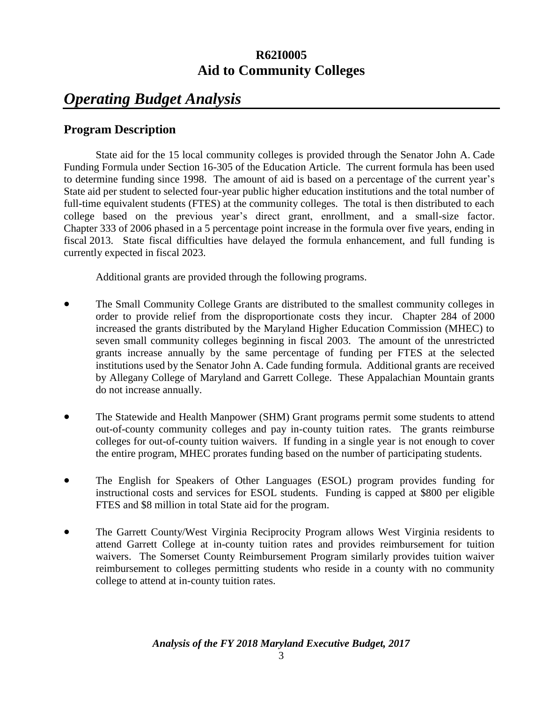# *Operating Budget Analysis*

# **Program Description**

State aid for the 15 local community colleges is provided through the Senator John A. Cade Funding Formula under Section 16-305 of the Education Article. The current formula has been used to determine funding since 1998. The amount of aid is based on a percentage of the current year's State aid per student to selected four-year public higher education institutions and the total number of full-time equivalent students (FTES) at the community colleges. The total is then distributed to each college based on the previous year's direct grant, enrollment, and a small-size factor. Chapter 333 of 2006 phased in a 5 percentage point increase in the formula over five years, ending in fiscal 2013. State fiscal difficulties have delayed the formula enhancement, and full funding is currently expected in fiscal 2023.

Additional grants are provided through the following programs.

- The Small Community College Grants are distributed to the smallest community colleges in order to provide relief from the disproportionate costs they incur. Chapter 284 of 2000 increased the grants distributed by the Maryland Higher Education Commission (MHEC) to seven small community colleges beginning in fiscal 2003. The amount of the unrestricted grants increase annually by the same percentage of funding per FTES at the selected institutions used by the Senator John A. Cade funding formula. Additional grants are received by Allegany College of Maryland and Garrett College. These Appalachian Mountain grants do not increase annually.
- The Statewide and Health Manpower (SHM) Grant programs permit some students to attend out-of-county community colleges and pay in-county tuition rates. The grants reimburse colleges for out-of-county tuition waivers. If funding in a single year is not enough to cover the entire program, MHEC prorates funding based on the number of participating students.
- The English for Speakers of Other Languages (ESOL) program provides funding for instructional costs and services for ESOL students. Funding is capped at \$800 per eligible FTES and \$8 million in total State aid for the program.
- The Garrett County/West Virginia Reciprocity Program allows West Virginia residents to attend Garrett College at in-county tuition rates and provides reimbursement for tuition waivers. The Somerset County Reimbursement Program similarly provides tuition waiver reimbursement to colleges permitting students who reside in a county with no community college to attend at in-county tuition rates.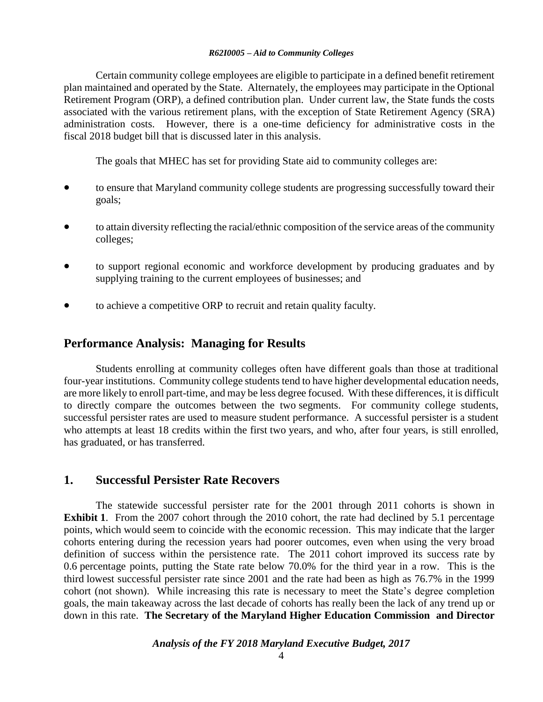Certain community college employees are eligible to participate in a defined benefit retirement plan maintained and operated by the State. Alternately, the employees may participate in the Optional Retirement Program (ORP), a defined contribution plan. Under current law, the State funds the costs associated with the various retirement plans, with the exception of State Retirement Agency (SRA) administration costs. However, there is a one-time deficiency for administrative costs in the fiscal 2018 budget bill that is discussed later in this analysis.

The goals that MHEC has set for providing State aid to community colleges are:

- to ensure that Maryland community college students are progressing successfully toward their goals;
- to attain diversity reflecting the racial/ethnic composition of the service areas of the community colleges;
- to support regional economic and workforce development by producing graduates and by supplying training to the current employees of businesses; and
- to achieve a competitive ORP to recruit and retain quality faculty.

## **Performance Analysis: Managing for Results**

Students enrolling at community colleges often have different goals than those at traditional four-year institutions. Community college students tend to have higher developmental education needs, are more likely to enroll part-time, and may be less degree focused. With these differences, it is difficult to directly compare the outcomes between the two segments. For community college students, successful persister rates are used to measure student performance. A successful persister is a student who attempts at least 18 credits within the first two years, and who, after four years, is still enrolled, has graduated, or has transferred.

### **1. Successful Persister Rate Recovers**

The statewide successful persister rate for the 2001 through 2011 cohorts is shown in **Exhibit 1.** From the 2007 cohort through the 2010 cohort, the rate had declined by 5.1 percentage points, which would seem to coincide with the economic recession. This may indicate that the larger cohorts entering during the recession years had poorer outcomes, even when using the very broad definition of success within the persistence rate. The 2011 cohort improved its success rate by 0.6 percentage points, putting the State rate below 70.0% for the third year in a row. This is the third lowest successful persister rate since 2001 and the rate had been as high as 76.7% in the 1999 cohort (not shown). While increasing this rate is necessary to meet the State's degree completion goals, the main takeaway across the last decade of cohorts has really been the lack of any trend up or down in this rate. **The Secretary of the Maryland Higher Education Commission and Director**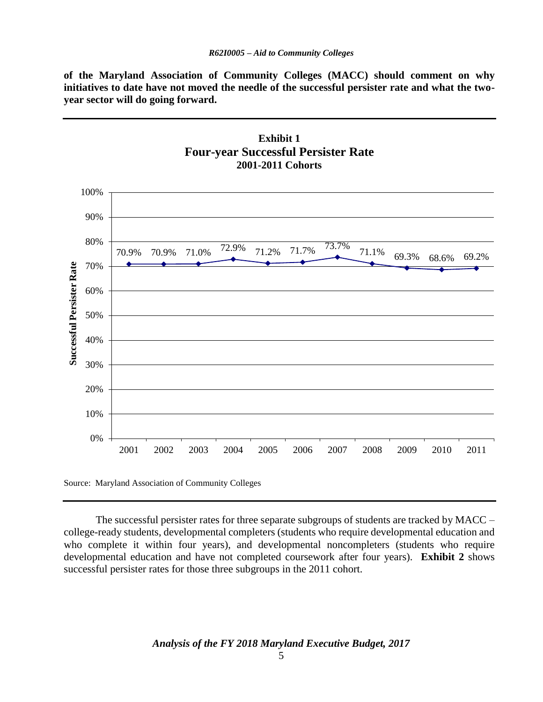**of the Maryland Association of Community Colleges (MACC) should comment on why initiatives to date have not moved the needle of the successful persister rate and what the twoyear sector will do going forward.** 





Source: Maryland Association of Community Colleges

The successful persister rates for three separate subgroups of students are tracked by MACC – college-ready students, developmental completers (students who require developmental education and who complete it within four years), and developmental noncompleters (students who require developmental education and have not completed coursework after four years). **Exhibit 2** shows successful persister rates for those three subgroups in the 2011 cohort.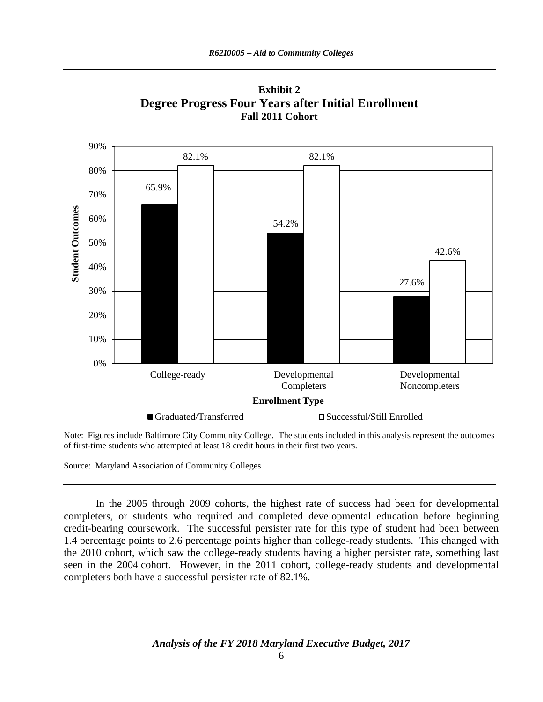

**Exhibit 2 Degree Progress Four Years after Initial Enrollment Fall 2011 Cohort**

Note: Figures include Baltimore City Community College. The students included in this analysis represent the outcomes of first-time students who attempted at least 18 credit hours in their first two years.

Source: Maryland Association of Community Colleges

In the 2005 through 2009 cohorts, the highest rate of success had been for developmental completers, or students who required and completed developmental education before beginning credit-bearing coursework. The successful persister rate for this type of student had been between 1.4 percentage points to 2.6 percentage points higher than college-ready students. This changed with the 2010 cohort, which saw the college-ready students having a higher persister rate, something last seen in the 2004 cohort. However, in the 2011 cohort, college-ready students and developmental completers both have a successful persister rate of 82.1%.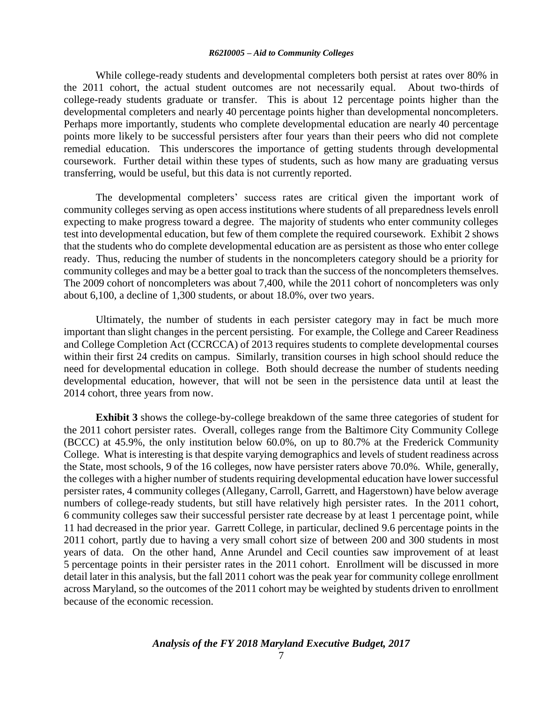While college-ready students and developmental completers both persist at rates over 80% in the 2011 cohort, the actual student outcomes are not necessarily equal. About two-thirds of college-ready students graduate or transfer. This is about 12 percentage points higher than the developmental completers and nearly 40 percentage points higher than developmental noncompleters. Perhaps more importantly, students who complete developmental education are nearly 40 percentage points more likely to be successful persisters after four years than their peers who did not complete remedial education. This underscores the importance of getting students through developmental coursework. Further detail within these types of students, such as how many are graduating versus transferring, would be useful, but this data is not currently reported.

The developmental completers' success rates are critical given the important work of community colleges serving as open access institutions where students of all preparedness levels enroll expecting to make progress toward a degree. The majority of students who enter community colleges test into developmental education, but few of them complete the required coursework. Exhibit 2 shows that the students who do complete developmental education are as persistent as those who enter college ready. Thus, reducing the number of students in the noncompleters category should be a priority for community colleges and may be a better goal to track than the success of the noncompleters themselves. The 2009 cohort of noncompleters was about 7,400, while the 2011 cohort of noncompleters was only about 6,100, a decline of 1,300 students, or about 18.0%, over two years.

Ultimately, the number of students in each persister category may in fact be much more important than slight changes in the percent persisting. For example, the College and Career Readiness and College Completion Act (CCRCCA) of 2013 requires students to complete developmental courses within their first 24 credits on campus. Similarly, transition courses in high school should reduce the need for developmental education in college. Both should decrease the number of students needing developmental education, however, that will not be seen in the persistence data until at least the 2014 cohort, three years from now.

**Exhibit 3** shows the college-by-college breakdown of the same three categories of student for the 2011 cohort persister rates. Overall, colleges range from the Baltimore City Community College (BCCC) at 45.9%, the only institution below 60.0%, on up to 80.7% at the Frederick Community College. What is interesting is that despite varying demographics and levels of student readiness across the State, most schools, 9 of the 16 colleges, now have persister raters above 70.0%. While, generally, the colleges with a higher number of students requiring developmental education have lower successful persister rates, 4 community colleges (Allegany, Carroll, Garrett, and Hagerstown) have below average numbers of college-ready students, but still have relatively high persister rates. In the 2011 cohort, 6 community colleges saw their successful persister rate decrease by at least 1 percentage point, while 11 had decreased in the prior year. Garrett College, in particular, declined 9.6 percentage points in the 2011 cohort, partly due to having a very small cohort size of between 200 and 300 students in most years of data. On the other hand, Anne Arundel and Cecil counties saw improvement of at least 5 percentage points in their persister rates in the 2011 cohort. Enrollment will be discussed in more detail later in this analysis, but the fall 2011 cohort was the peak year for community college enrollment across Maryland, so the outcomes of the 2011 cohort may be weighted by students driven to enrollment because of the economic recession.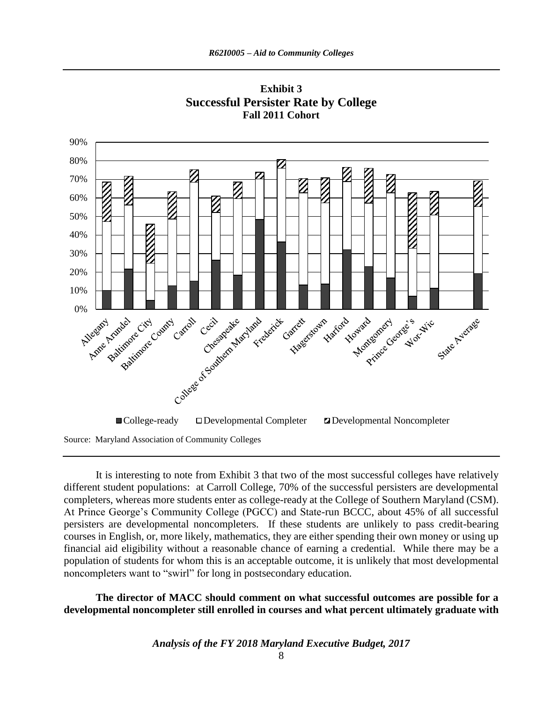

**Exhibit 3 Successful Persister Rate by College Fall 2011 Cohort**

Source: Maryland Association of Community Colleges

It is interesting to note from Exhibit 3 that two of the most successful colleges have relatively different student populations: at Carroll College, 70% of the successful persisters are developmental completers, whereas more students enter as college-ready at the College of Southern Maryland (CSM). At Prince George's Community College (PGCC) and State-run BCCC, about 45% of all successful persisters are developmental noncompleters. If these students are unlikely to pass credit-bearing courses in English, or, more likely, mathematics, they are either spending their own money or using up financial aid eligibility without a reasonable chance of earning a credential. While there may be a population of students for whom this is an acceptable outcome, it is unlikely that most developmental noncompleters want to "swirl" for long in postsecondary education.

**The director of MACC should comment on what successful outcomes are possible for a developmental noncompleter still enrolled in courses and what percent ultimately graduate with**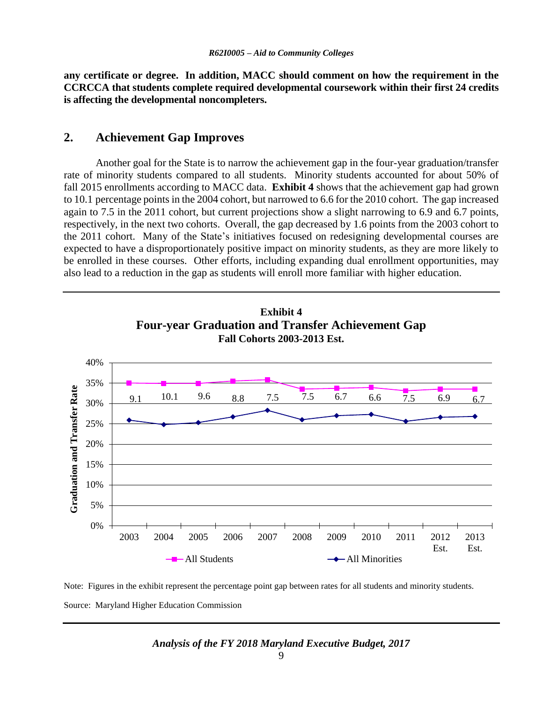**any certificate or degree. In addition, MACC should comment on how the requirement in the CCRCCA that students complete required developmental coursework within their first 24 credits is affecting the developmental noncompleters.** 

# **2. Achievement Gap Improves**

Another goal for the State is to narrow the achievement gap in the four-year graduation/transfer rate of minority students compared to all students. Minority students accounted for about 50% of fall 2015 enrollments according to MACC data. **Exhibit 4** shows that the achievement gap had grown to 10.1 percentage points in the 2004 cohort, but narrowed to 6.6 for the 2010 cohort. The gap increased again to 7.5 in the 2011 cohort, but current projections show a slight narrowing to 6.9 and 6.7 points, respectively, in the next two cohorts. Overall, the gap decreased by 1.6 points from the 2003 cohort to the 2011 cohort. Many of the State's initiatives focused on redesigning developmental courses are expected to have a disproportionately positive impact on minority students, as they are more likely to be enrolled in these courses. Other efforts, including expanding dual enrollment opportunities, may also lead to a reduction in the gap as students will enroll more familiar with higher education.



Note: Figures in the exhibit represent the percentage point gap between rates for all students and minority students. Source: Maryland Higher Education Commission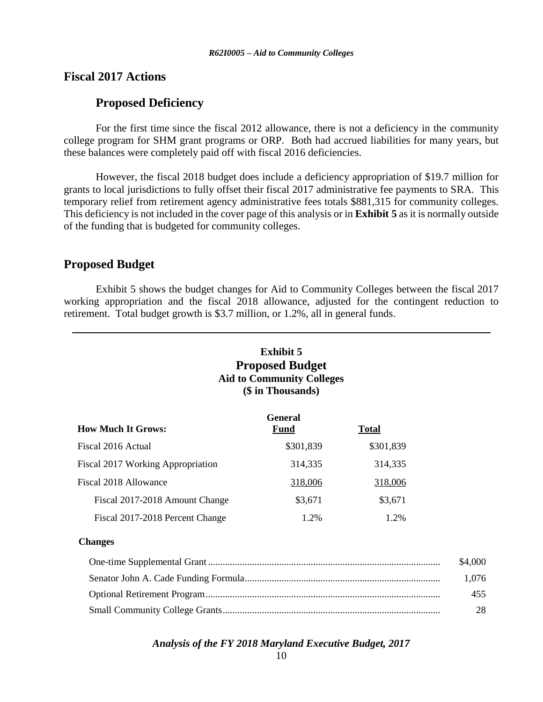### **Fiscal 2017 Actions**

### **Proposed Deficiency**

For the first time since the fiscal 2012 allowance, there is not a deficiency in the community college program for SHM grant programs or ORP. Both had accrued liabilities for many years, but these balances were completely paid off with fiscal 2016 deficiencies.

However, the fiscal 2018 budget does include a deficiency appropriation of \$19.7 million for grants to local jurisdictions to fully offset their fiscal 2017 administrative fee payments to SRA. This temporary relief from retirement agency administrative fees totals \$881,315 for community colleges. This deficiency is not included in the cover page of this analysis or in **Exhibit 5** as it is normally outside of the funding that is budgeted for community colleges.

### **Proposed Budget**

Exhibit 5 shows the budget changes for Aid to Community Colleges between the fiscal 2017 working appropriation and the fiscal 2018 allowance, adjusted for the contingent reduction to retirement. Total budget growth is \$3.7 million, or 1.2%, all in general funds.

# **Exhibit 5 Proposed Budget Aid to Community Colleges (\$ in Thousands)**

|                                   | <b>General</b> |              |
|-----------------------------------|----------------|--------------|
| <b>How Much It Grows:</b>         | <b>Fund</b>    | <b>Total</b> |
| Fiscal 2016 Actual                | \$301,839      | \$301,839    |
| Fiscal 2017 Working Appropriation | 314,335        | 314,335      |
| Fiscal 2018 Allowance             | 318,006        | 318,006      |
| Fiscal 2017-2018 Amount Change    | \$3,671        | \$3,671      |
| Fiscal 2017-2018 Percent Change   | 1.2%           | 1.2%         |

### **Changes**

| \$4,000 |
|---------|
| 1.076   |
| 455     |
| 28      |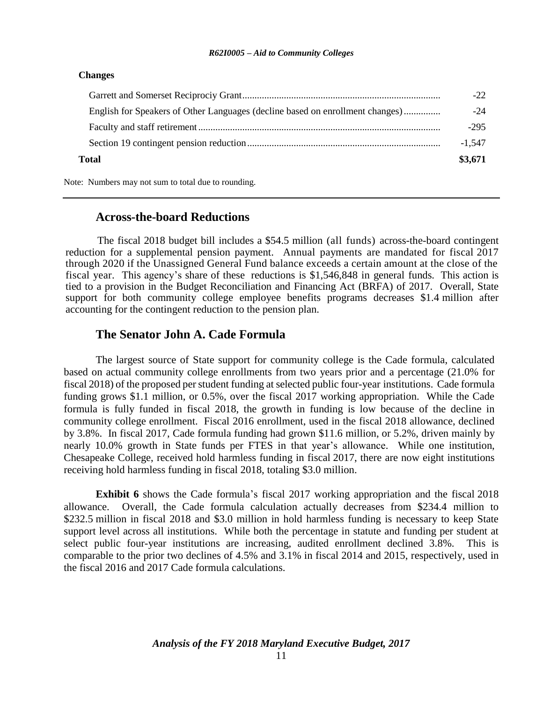### **Changes**

| Total                                                                         | \$3,671  |
|-------------------------------------------------------------------------------|----------|
|                                                                               | $-1,547$ |
|                                                                               | $-295$   |
| English for Speakers of Other Languages (decline based on enrollment changes) | $-24$    |
|                                                                               | $-22$    |

Note: Numbers may not sum to total due to rounding.

### **Across-the-board Reductions**

The fiscal 2018 budget bill includes a \$54.5 million (all funds) across-the-board contingent reduction for a supplemental pension payment. Annual payments are mandated for fiscal 2017 through 2020 if the Unassigned General Fund balance exceeds a certain amount at the close of the fiscal year. This agency's share of these reductions is \$1,546,848 in general funds. This action is tied to a provision in the Budget Reconciliation and Financing Act (BRFA) of 2017. Overall, State support for both community college employee benefits programs decreases \$1.4 million after accounting for the contingent reduction to the pension plan.

## **The Senator John A. Cade Formula**

The largest source of State support for community college is the Cade formula, calculated based on actual community college enrollments from two years prior and a percentage (21.0% for fiscal 2018) of the proposed per student funding at selected public four-year institutions. Cade formula funding grows \$1.1 million, or 0.5%, over the fiscal 2017 working appropriation. While the Cade formula is fully funded in fiscal 2018, the growth in funding is low because of the decline in community college enrollment. Fiscal 2016 enrollment, used in the fiscal 2018 allowance, declined by 3.8%. In fiscal 2017, Cade formula funding had grown \$11.6 million, or 5.2%, driven mainly by nearly 10.0% growth in State funds per FTES in that year's allowance. While one institution, Chesapeake College, received hold harmless funding in fiscal 2017, there are now eight institutions receiving hold harmless funding in fiscal 2018, totaling \$3.0 million.

**Exhibit 6** shows the Cade formula's fiscal 2017 working appropriation and the fiscal 2018 allowance. Overall, the Cade formula calculation actually decreases from \$234.4 million to \$232.5 million in fiscal 2018 and \$3.0 million in hold harmless funding is necessary to keep State support level across all institutions. While both the percentage in statute and funding per student at select public four-year institutions are increasing, audited enrollment declined 3.8%. This is comparable to the prior two declines of 4.5% and 3.1% in fiscal 2014 and 2015, respectively, used in the fiscal 2016 and 2017 Cade formula calculations.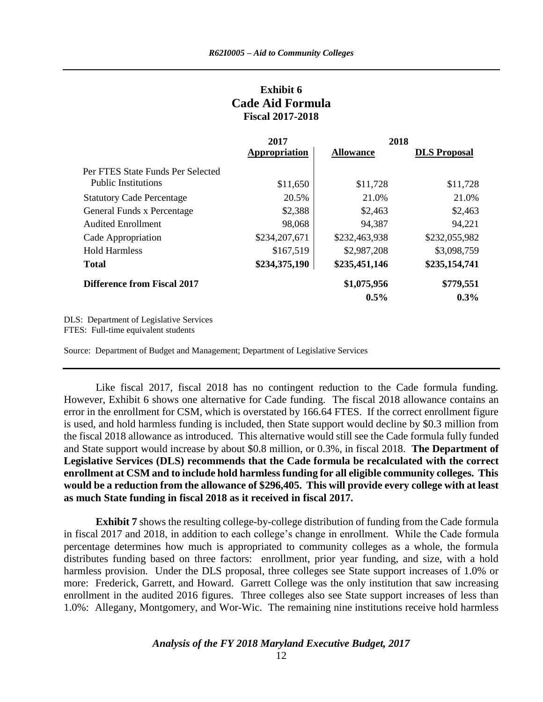### **Exhibit 6 Cade Aid Formula Fiscal 2017-2018**

|                                    | 2018<br>2017  |                  |                     |
|------------------------------------|---------------|------------------|---------------------|
|                                    | Appropriation | <b>Allowance</b> | <b>DLS</b> Proposal |
| Per FTES State Funds Per Selected  |               |                  |                     |
| <b>Public Institutions</b>         | \$11,650      | \$11,728         | \$11,728            |
| <b>Statutory Cade Percentage</b>   | 20.5%         | 21.0%            | 21.0%               |
| General Funds x Percentage         | \$2,388       | \$2,463          | \$2,463             |
| <b>Audited Enrollment</b>          | 98,068        | 94,387           | 94,221              |
| Cade Appropriation                 | \$234,207,671 | \$232,463,938    | \$232,055,982       |
| <b>Hold Harmless</b>               | \$167,519     | \$2,987,208      | \$3,098,759         |
| <b>Total</b>                       | \$234,375,190 | \$235,451,146    | \$235,154,741       |
| <b>Difference from Fiscal 2017</b> |               | \$1,075,956      | \$779,551           |
|                                    |               | $0.5\%$          | $0.3\%$             |

DLS: Department of Legislative Services FTES: Full-time equivalent students

Source: Department of Budget and Management; Department of Legislative Services

Like fiscal 2017, fiscal 2018 has no contingent reduction to the Cade formula funding. However, Exhibit 6 shows one alternative for Cade funding. The fiscal 2018 allowance contains an error in the enrollment for CSM, which is overstated by 166.64 FTES. If the correct enrollment figure is used, and hold harmless funding is included, then State support would decline by \$0.3 million from the fiscal 2018 allowance as introduced. This alternative would still see the Cade formula fully funded and State support would increase by about \$0.8 million, or 0.3%, in fiscal 2018. **The Department of Legislative Services (DLS) recommends that the Cade formula be recalculated with the correct enrollment at CSM and to include hold harmless funding for all eligible community colleges. This would be a reduction from the allowance of \$296,405. This will provide every college with at least as much State funding in fiscal 2018 as it received in fiscal 2017.**

**Exhibit 7** shows the resulting college-by-college distribution of funding from the Cade formula in fiscal 2017 and 2018, in addition to each college's change in enrollment. While the Cade formula percentage determines how much is appropriated to community colleges as a whole, the formula distributes funding based on three factors: enrollment, prior year funding, and size, with a hold harmless provision. Under the DLS proposal, three colleges see State support increases of 1.0% or more: Frederick, Garrett, and Howard. Garrett College was the only institution that saw increasing enrollment in the audited 2016 figures. Three colleges also see State support increases of less than 1.0%: Allegany, Montgomery, and Wor-Wic. The remaining nine institutions receive hold harmless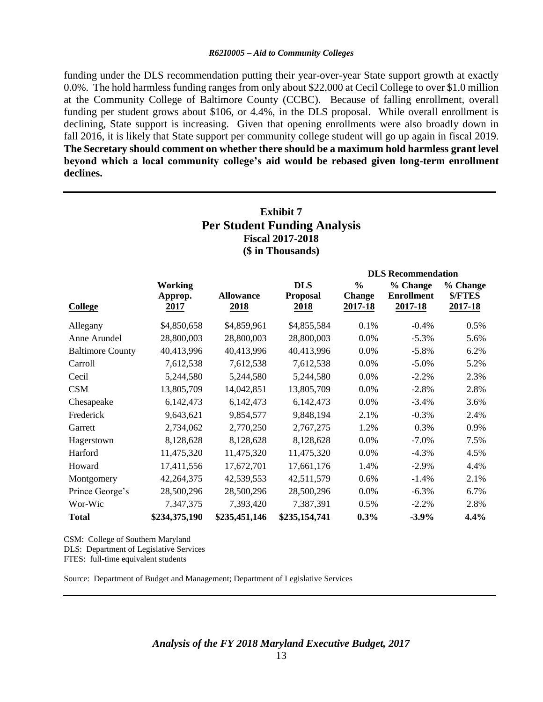funding under the DLS recommendation putting their year-over-year State support growth at exactly 0.0%. The hold harmless funding ranges from only about \$22,000 at Cecil College to over \$1.0 million at the Community College of Baltimore County (CCBC). Because of falling enrollment, overall funding per student grows about \$106, or 4.4%, in the DLS proposal. While overall enrollment is declining, State support is increasing. Given that opening enrollments were also broadly down in fall 2016, it is likely that State support per community college student will go up again in fiscal 2019. **The Secretary should comment on whether there should be a maximum hold harmless grant level beyond which a local community college's aid would be rebased given long-term enrollment declines.**

# **Exhibit 7 Per Student Funding Analysis Fiscal 2017-2018 (\$ in Thousands)**

|                         |               |                  |                 | <b>DLS</b> Recommendation |                   |          |  |
|-------------------------|---------------|------------------|-----------------|---------------------------|-------------------|----------|--|
|                         | Working       |                  | <b>DLS</b>      | $\frac{0}{0}$             | % Change          | % Change |  |
|                         | Approp.       | <b>Allowance</b> | <b>Proposal</b> | <b>Change</b>             | <b>Enrollment</b> | \$/FTES  |  |
| <b>College</b>          | <u> 2017 </u> | <u>2018</u>      | 2018            | 2017-18                   | 2017-18           | 2017-18  |  |
| Allegany                | \$4,850,658   | \$4,859,961      | \$4,855,584     | 0.1%                      | $-0.4%$           | 0.5%     |  |
| Anne Arundel            | 28,800,003    | 28,800,003       | 28,800,003      | 0.0%                      | $-5.3%$           | 5.6%     |  |
| <b>Baltimore County</b> | 40,413,996    | 40,413,996       | 40,413,996      | 0.0%                      | $-5.8%$           | 6.2%     |  |
| Carroll                 | 7,612,538     | 7,612,538        | 7,612,538       | 0.0%                      | $-5.0\%$          | 5.2%     |  |
| Cecil                   | 5,244,580     | 5,244,580        | 5,244,580       | 0.0%                      | $-2.2%$           | 2.3%     |  |
| <b>CSM</b>              | 13,805,709    | 14,042,851       | 13,805,709      | 0.0%                      | $-2.8%$           | 2.8%     |  |
| Chesapeake              | 6,142,473     | 6,142,473        | 6,142,473       | 0.0%                      | $-3.4%$           | 3.6%     |  |
| Frederick               | 9,643,621     | 9,854,577        | 9,848,194       | 2.1%                      | $-0.3%$           | 2.4%     |  |
| Garrett                 | 2,734,062     | 2,770,250        | 2,767,275       | 1.2%                      | 0.3%              | 0.9%     |  |
| Hagerstown              | 8,128,628     | 8,128,628        | 8,128,628       | 0.0%                      | $-7.0%$           | 7.5%     |  |
| Harford                 | 11,475,320    | 11,475,320       | 11,475,320      | 0.0%                      | $-4.3%$           | 4.5%     |  |
| Howard                  | 17,411,556    | 17,672,701       | 17,661,176      | 1.4%                      | $-2.9\%$          | 4.4%     |  |
| Montgomery              | 42,264,375    | 42,539,553       | 42,511,579      | 0.6%                      | $-1.4%$           | 2.1%     |  |
| Prince George's         | 28,500,296    | 28,500,296       | 28,500,296      | 0.0%                      | $-6.3%$           | 6.7%     |  |
| Wor-Wic                 | 7,347,375     | 7,393,420        | 7,387,391       | 0.5%                      | $-2.2%$           | 2.8%     |  |
| <b>Total</b>            | \$234,375,190 | \$235,451,146    | \$235,154,741   | $0.3\%$                   | $-3.9\%$          | 4.4%     |  |

CSM: College of Southern Maryland DLS: Department of Legislative Services FTES: full-time equivalent students

Source: Department of Budget and Management; Department of Legislative Services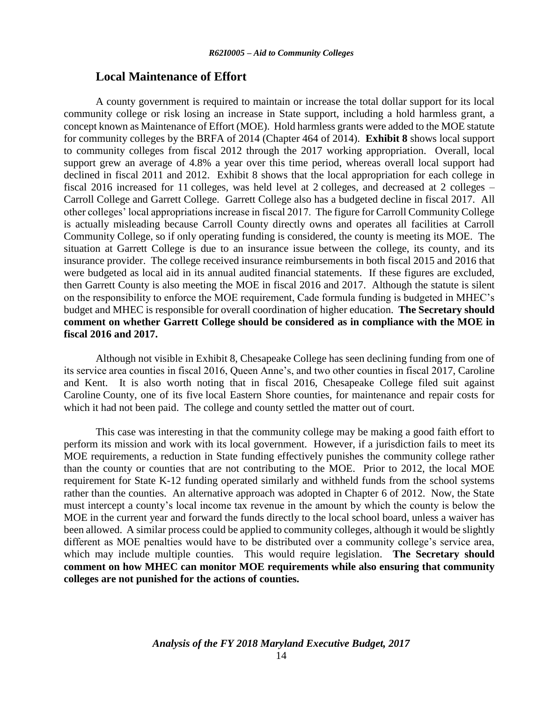### **Local Maintenance of Effort**

A county government is required to maintain or increase the total dollar support for its local community college or risk losing an increase in State support, including a hold harmless grant, a concept known as Maintenance of Effort (MOE). Hold harmless grants were added to the MOE statute for community colleges by the BRFA of 2014 (Chapter 464 of 2014). **Exhibit 8** shows local support to community colleges from fiscal 2012 through the 2017 working appropriation. Overall, local support grew an average of 4.8% a year over this time period, whereas overall local support had declined in fiscal 2011 and 2012. Exhibit 8 shows that the local appropriation for each college in fiscal 2016 increased for 11 colleges, was held level at 2 colleges, and decreased at 2 colleges – Carroll College and Garrett College. Garrett College also has a budgeted decline in fiscal 2017. All other colleges' local appropriations increase in fiscal 2017. The figure for Carroll Community College is actually misleading because Carroll County directly owns and operates all facilities at Carroll Community College, so if only operating funding is considered, the county is meeting its MOE. The situation at Garrett College is due to an insurance issue between the college, its county, and its insurance provider. The college received insurance reimbursements in both fiscal 2015 and 2016 that were budgeted as local aid in its annual audited financial statements. If these figures are excluded, then Garrett County is also meeting the MOE in fiscal 2016 and 2017. Although the statute is silent on the responsibility to enforce the MOE requirement, Cade formula funding is budgeted in MHEC's budget and MHEC is responsible for overall coordination of higher education. **The Secretary should comment on whether Garrett College should be considered as in compliance with the MOE in fiscal 2016 and 2017.** 

Although not visible in Exhibit 8, Chesapeake College has seen declining funding from one of its service area counties in fiscal 2016, Queen Anne's, and two other counties in fiscal 2017, Caroline and Kent. It is also worth noting that in fiscal 2016, Chesapeake College filed suit against Caroline County, one of its five local Eastern Shore counties, for maintenance and repair costs for which it had not been paid. The college and county settled the matter out of court.

This case was interesting in that the community college may be making a good faith effort to perform its mission and work with its local government. However, if a jurisdiction fails to meet its MOE requirements, a reduction in State funding effectively punishes the community college rather than the county or counties that are not contributing to the MOE. Prior to 2012, the local MOE requirement for State K-12 funding operated similarly and withheld funds from the school systems rather than the counties. An alternative approach was adopted in Chapter 6 of 2012. Now, the State must intercept a county's local income tax revenue in the amount by which the county is below the MOE in the current year and forward the funds directly to the local school board, unless a waiver has been allowed. A similar process could be applied to community colleges, although it would be slightly different as MOE penalties would have to be distributed over a community college's service area, which may include multiple counties. This would require legislation. **The Secretary should comment on how MHEC can monitor MOE requirements while also ensuring that community colleges are not punished for the actions of counties.**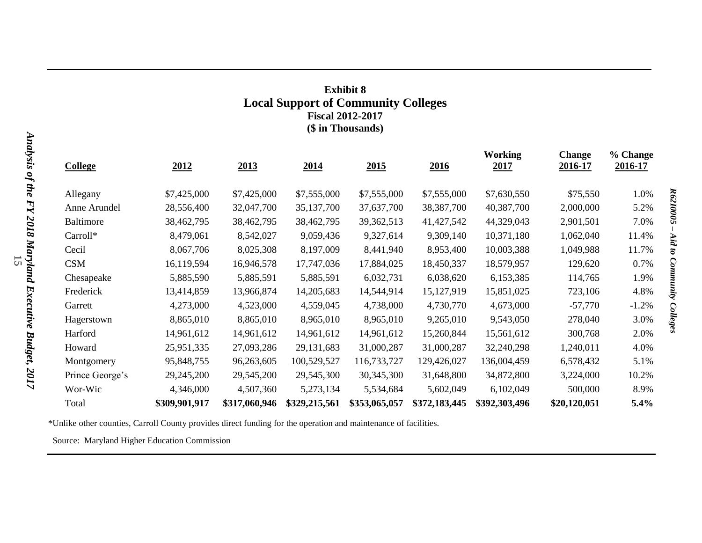# **Exhibit 8 Local Support of Community Colleges Fiscal 2012-2017 (\$ in Thousands)**

| <b>College</b>   | 2012          | 2013          | 2014          | 2015          | 2016          | <b>Working</b><br><u>2017</u> | <b>Change</b><br>2016-17 | % Change<br>2016-17 |  |
|------------------|---------------|---------------|---------------|---------------|---------------|-------------------------------|--------------------------|---------------------|--|
| Allegany         | \$7,425,000   | \$7,425,000   | \$7,555,000   | \$7,555,000   | \$7,555,000   | \$7,630,550                   | \$75,550                 | 1.0%                |  |
| Anne Arundel     | 28,556,400    | 32,047,700    | 35, 137, 700  | 37,637,700    | 38, 387, 700  | 40,387,700                    | 2,000,000                | 5.2%                |  |
| <b>Baltimore</b> | 38,462,795    | 38,462,795    | 38,462,795    | 39,362,513    | 41,427,542    | 44,329,043                    | 2,901,501                | 7.0%                |  |
| Carroll*         | 8,479,061     | 8,542,027     | 9,059,436     | 9,327,614     | 9,309,140     | 10,371,180                    | 1,062,040                | 11.4%               |  |
| Cecil            | 8,067,706     | 8,025,308     | 8,197,009     | 8,441,940     | 8,953,400     | 10,003,388                    | 1,049,988                | 11.7%               |  |
| <b>CSM</b>       | 16,119,594    | 16,946,578    | 17,747,036    | 17,884,025    | 18,450,337    | 18,579,957                    | 129,620                  | 0.7%                |  |
| Chesapeake       | 5,885,590     | 5,885,591     | 5,885,591     | 6,032,731     | 6,038,620     | 6,153,385                     | 114,765                  | 1.9%                |  |
| Frederick        | 13,414,859    | 13,966,874    | 14,205,683    | 14,544,914    | 15,127,919    | 15,851,025                    | 723,106                  | 4.8%                |  |
| Garrett          | 4,273,000     | 4,523,000     | 4,559,045     | 4,738,000     | 4,730,770     | 4,673,000                     | $-57,770$                | $-1.2%$             |  |
| Hagerstown       | 8,865,010     | 8,865,010     | 8,965,010     | 8,965,010     | 9,265,010     | 9,543,050                     | 278,040                  | 3.0%                |  |
| Harford          | 14,961,612    | 14,961,612    | 14,961,612    | 14,961,612    | 15,260,844    | 15,561,612                    | 300,768                  | 2.0%                |  |
| Howard           | 25,951,335    | 27,093,286    | 29,131,683    | 31,000,287    | 31,000,287    | 32,240,298                    | 1,240,011                | 4.0%                |  |
| Montgomery       | 95,848,755    | 96,263,605    | 100,529,527   | 116,733,727   | 129,426,027   | 136,004,459                   | 6,578,432                | 5.1%                |  |
| Prince George's  | 29,245,200    | 29,545,200    | 29,545,300    | 30, 345, 300  | 31,648,800    | 34,872,800                    | 3,224,000                | 10.2%               |  |
| Wor-Wic          | 4,346,000     | 4,507,360     | 5,273,134     | 5,534,684     | 5,602,049     | 6,102,049                     | 500,000                  | 8.9%                |  |
| Total            | \$309,901,917 | \$317,060,946 | \$329,215,561 | \$353,065,057 | \$372,183,445 | \$392,303,496                 | \$20,120,051             | 5.4%                |  |

\*Unlike other counties, Carroll County provides direct funding for the operation and maintenance of facilities.

Source: Maryland Higher Education Commission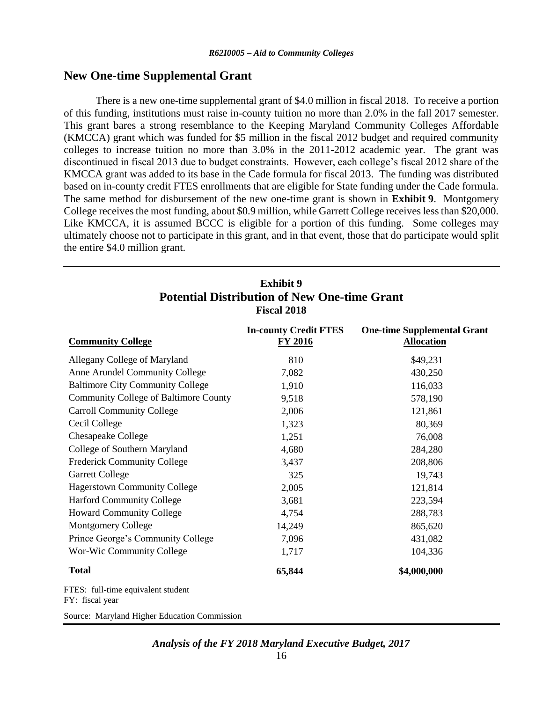### **New One-time Supplemental Grant**

There is a new one-time supplemental grant of \$4.0 million in fiscal 2018. To receive a portion of this funding, institutions must raise in-county tuition no more than 2.0% in the fall 2017 semester. This grant bares a strong resemblance to the Keeping Maryland Community Colleges Affordable (KMCCA) grant which was funded for \$5 million in the fiscal 2012 budget and required community colleges to increase tuition no more than 3.0% in the 2011-2012 academic year. The grant was discontinued in fiscal 2013 due to budget constraints. However, each college's fiscal 2012 share of the KMCCA grant was added to its base in the Cade formula for fiscal 2013. The funding was distributed based on in-county credit FTES enrollments that are eligible for State funding under the Cade formula. The same method for disbursement of the new one-time grant is shown in **Exhibit 9**. Montgomery College receives the most funding, about \$0.9 million, while Garrett College receives less than \$20,000. Like KMCCA, it is assumed BCCC is eligible for a portion of this funding. Some colleges may ultimately choose not to participate in this grant, and in that event, those that do participate would split the entire \$4.0 million grant.

## **Exhibit 9 Potential Distribution of New One-time Grant Fiscal 2018**

| <b>Community College</b>                              | <b>In-county Credit FTES</b><br><b>FY 2016</b> | <b>One-time Supplemental Grant</b><br><b>Allocation</b> |
|-------------------------------------------------------|------------------------------------------------|---------------------------------------------------------|
| Allegany College of Maryland                          | 810                                            | \$49,231                                                |
| Anne Arundel Community College                        | 7,082                                          | 430,250                                                 |
| <b>Baltimore City Community College</b>               | 1,910                                          | 116,033                                                 |
| <b>Community College of Baltimore County</b>          | 9,518                                          | 578,190                                                 |
| <b>Carroll Community College</b>                      | 2,006                                          | 121,861                                                 |
| Cecil College                                         | 1,323                                          | 80,369                                                  |
| <b>Chesapeake College</b>                             | 1,251                                          | 76,008                                                  |
| College of Southern Maryland                          | 4,680                                          | 284,280                                                 |
| <b>Frederick Community College</b>                    | 3,437                                          | 208,806                                                 |
| <b>Garrett College</b>                                | 325                                            | 19,743                                                  |
| <b>Hagerstown Community College</b>                   | 2,005                                          | 121,814                                                 |
| <b>Harford Community College</b>                      | 3,681                                          | 223,594                                                 |
| <b>Howard Community College</b>                       | 4,754                                          | 288,783                                                 |
| <b>Montgomery College</b>                             | 14,249                                         | 865,620                                                 |
| Prince George's Community College                     | 7,096                                          | 431,082                                                 |
| Wor-Wic Community College                             | 1,717                                          | 104,336                                                 |
| <b>Total</b>                                          | 65,844                                         | \$4,000,000                                             |
| FTES: full-time equivalent student<br>FY: fiscal year |                                                |                                                         |
| Source: Maryland Higher Education Commission          |                                                |                                                         |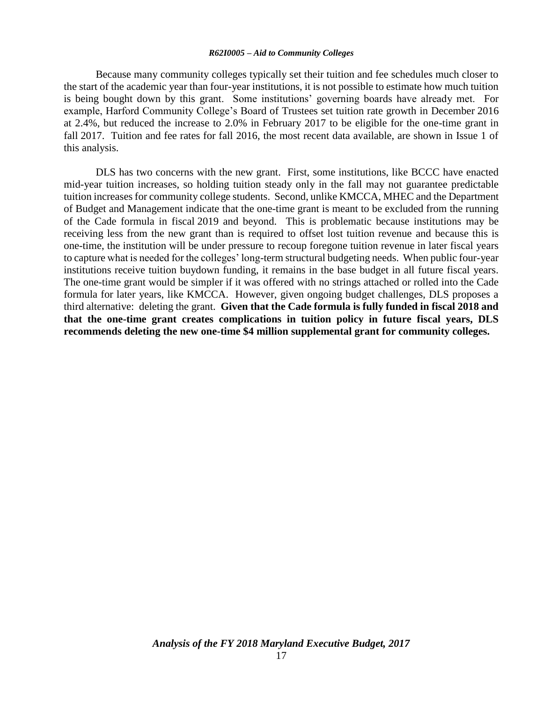Because many community colleges typically set their tuition and fee schedules much closer to the start of the academic year than four-year institutions, it is not possible to estimate how much tuition is being bought down by this grant. Some institutions' governing boards have already met. For example, Harford Community College's Board of Trustees set tuition rate growth in December 2016 at 2.4%, but reduced the increase to 2.0% in February 2017 to be eligible for the one-time grant in fall 2017. Tuition and fee rates for fall 2016, the most recent data available, are shown in Issue 1 of this analysis.

DLS has two concerns with the new grant. First, some institutions, like BCCC have enacted mid-year tuition increases, so holding tuition steady only in the fall may not guarantee predictable tuition increases for community college students. Second, unlike KMCCA, MHEC and the Department of Budget and Management indicate that the one-time grant is meant to be excluded from the running of the Cade formula in fiscal 2019 and beyond. This is problematic because institutions may be receiving less from the new grant than is required to offset lost tuition revenue and because this is one-time, the institution will be under pressure to recoup foregone tuition revenue in later fiscal years to capture what is needed for the colleges' long-term structural budgeting needs. When public four-year institutions receive tuition buydown funding, it remains in the base budget in all future fiscal years. The one-time grant would be simpler if it was offered with no strings attached or rolled into the Cade formula for later years, like KMCCA. However, given ongoing budget challenges, DLS proposes a third alternative: deleting the grant. **Given that the Cade formula is fully funded in fiscal 2018 and that the one-time grant creates complications in tuition policy in future fiscal years, DLS recommends deleting the new one-time \$4 million supplemental grant for community colleges.**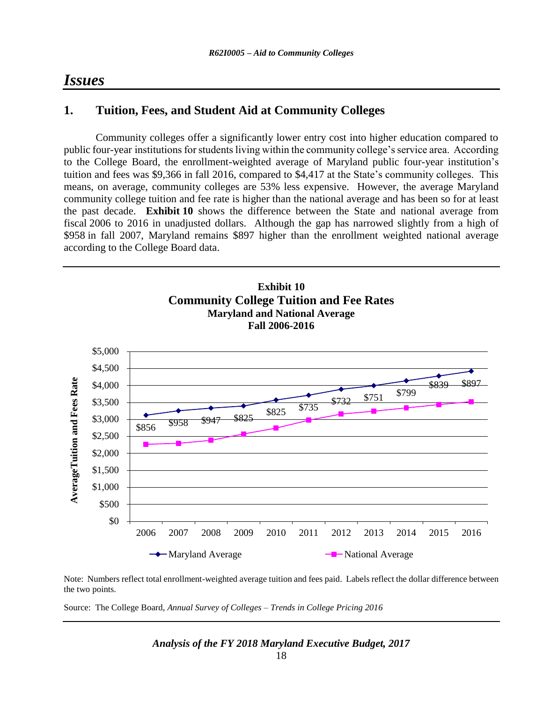# *Issues*

# **1. Tuition, Fees, and Student Aid at Community Colleges**

Community colleges offer a significantly lower entry cost into higher education compared to public four-year institutions for students living within the community college's service area. According to the College Board, the enrollment-weighted average of Maryland public four-year institution's tuition and fees was \$9,366 in fall 2016, compared to \$4,417 at the State's community colleges. This means, on average, community colleges are 53% less expensive. However, the average Maryland community college tuition and fee rate is higher than the national average and has been so for at least the past decade. **Exhibit 10** shows the difference between the State and national average from fiscal 2006 to 2016 in unadjusted dollars. Although the gap has narrowed slightly from a high of \$958 in fall 2007, Maryland remains \$897 higher than the enrollment weighted national average according to the College Board data.



Note: Numbers reflect total enrollment-weighted average tuition and fees paid. Labels reflect the dollar difference between the two points.

Source: The College Board, *Annual Survey of Colleges – Trends in College Pricing 2016*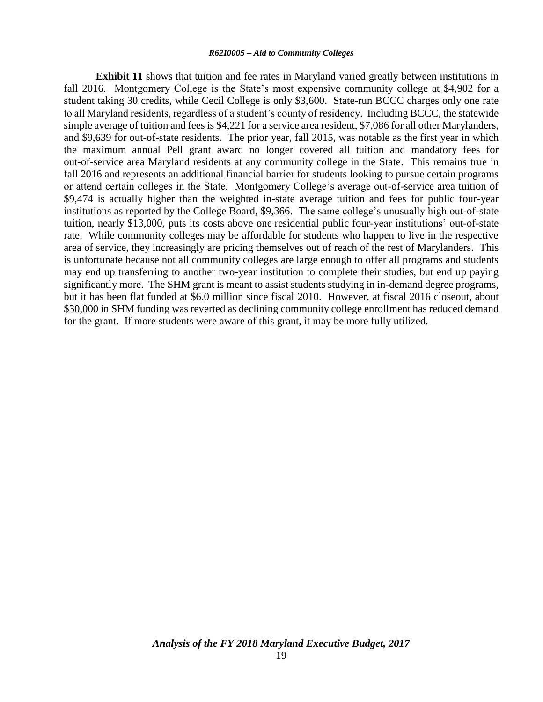**Exhibit 11** shows that tuition and fee rates in Maryland varied greatly between institutions in fall 2016. Montgomery College is the State's most expensive community college at \$4,902 for a student taking 30 credits, while Cecil College is only \$3,600. State-run BCCC charges only one rate to all Maryland residents, regardless of a student's county of residency. Including BCCC, the statewide simple average of tuition and fees is \$4,221 for a service area resident, \$7,086 for all other Marylanders, and \$9,639 for out-of-state residents. The prior year, fall 2015, was notable as the first year in which the maximum annual Pell grant award no longer covered all tuition and mandatory fees for out-of-service area Maryland residents at any community college in the State. This remains true in fall 2016 and represents an additional financial barrier for students looking to pursue certain programs or attend certain colleges in the State. Montgomery College's average out-of-service area tuition of \$9,474 is actually higher than the weighted in-state average tuition and fees for public four-year institutions as reported by the College Board, \$9,366. The same college's unusually high out-of-state tuition, nearly \$13,000, puts its costs above one residential public four-year institutions' out-of-state rate. While community colleges may be affordable for students who happen to live in the respective area of service, they increasingly are pricing themselves out of reach of the rest of Marylanders. This is unfortunate because not all community colleges are large enough to offer all programs and students may end up transferring to another two-year institution to complete their studies, but end up paying significantly more. The SHM grant is meant to assist students studying in in-demand degree programs, but it has been flat funded at \$6.0 million since fiscal 2010. However, at fiscal 2016 closeout, about \$30,000 in SHM funding was reverted as declining community college enrollment has reduced demand for the grant. If more students were aware of this grant, it may be more fully utilized.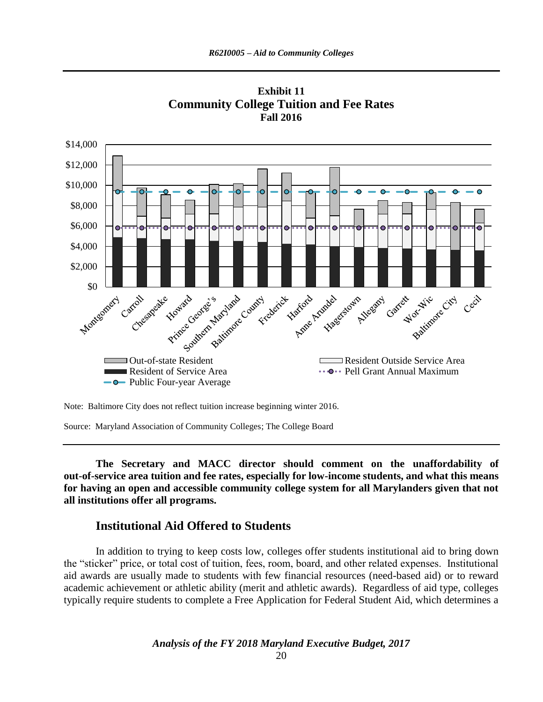



Source: Maryland Association of Community Colleges; The College Board

**The Secretary and MACC director should comment on the unaffordability of out-of-service area tuition and fee rates, especially for low-income students, and what this means for having an open and accessible community college system for all Marylanders given that not all institutions offer all programs.**

### **Institutional Aid Offered to Students**

In addition to trying to keep costs low, colleges offer students institutional aid to bring down the "sticker" price, or total cost of tuition, fees, room, board, and other related expenses. Institutional aid awards are usually made to students with few financial resources (need-based aid) or to reward academic achievement or athletic ability (merit and athletic awards). Regardless of aid type, colleges typically require students to complete a Free Application for Federal Student Aid, which determines a

Note: Baltimore City does not reflect tuition increase beginning winter 2016.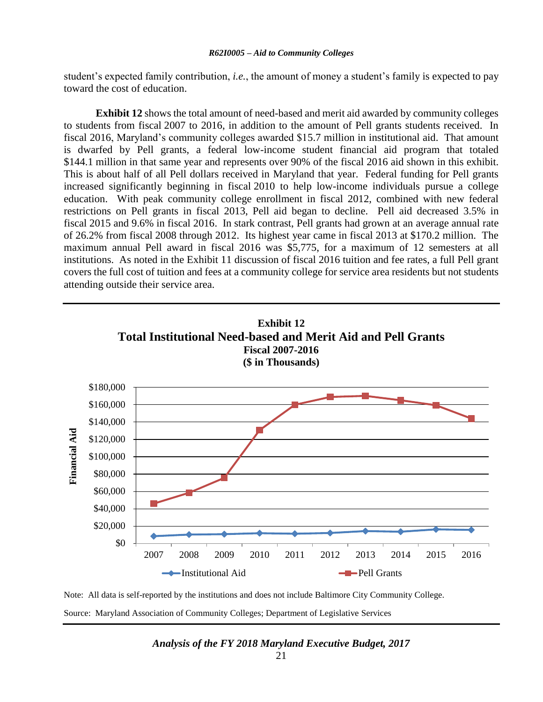student's expected family contribution, *i.e.*, the amount of money a student's family is expected to pay toward the cost of education.

**Exhibit 12** shows the total amount of need-based and merit aid awarded by community colleges to students from fiscal 2007 to 2016, in addition to the amount of Pell grants students received. In fiscal 2016, Maryland's community colleges awarded \$15.7 million in institutional aid. That amount is dwarfed by Pell grants, a federal low-income student financial aid program that totaled \$144.1 million in that same year and represents over 90% of the fiscal 2016 aid shown in this exhibit. This is about half of all Pell dollars received in Maryland that year. Federal funding for Pell grants increased significantly beginning in fiscal 2010 to help low-income individuals pursue a college education. With peak community college enrollment in fiscal 2012, combined with new federal restrictions on Pell grants in fiscal 2013, Pell aid began to decline. Pell aid decreased 3.5% in fiscal 2015 and 9.6% in fiscal 2016. In stark contrast, Pell grants had grown at an average annual rate of 26.2% from fiscal 2008 through 2012. Its highest year came in fiscal 2013 at \$170.2 million. The maximum annual Pell award in fiscal 2016 was \$5,775, for a maximum of 12 semesters at all institutions. As noted in the Exhibit 11 discussion of fiscal 2016 tuition and fee rates, a full Pell grant covers the full cost of tuition and fees at a community college for service area residents but not students attending outside their service area.



Note: All data is self-reported by the institutions and does not include Baltimore City Community College. Source: Maryland Association of Community Colleges; Department of Legislative Services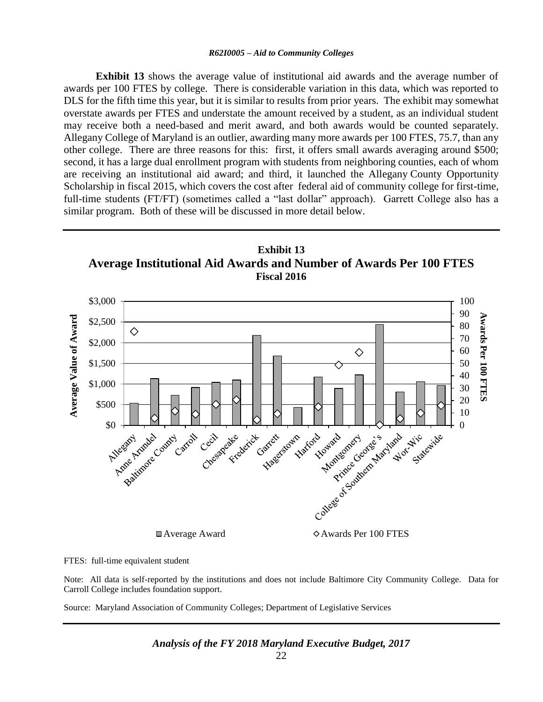**Exhibit 13** shows the average value of institutional aid awards and the average number of awards per 100 FTES by college. There is considerable variation in this data, which was reported to DLS for the fifth time this year, but it is similar to results from prior years. The exhibit may somewhat overstate awards per FTES and understate the amount received by a student, as an individual student may receive both a need-based and merit award, and both awards would be counted separately. Allegany College of Maryland is an outlier, awarding many more awards per 100 FTES, 75.7, than any other college. There are three reasons for this: first, it offers small awards averaging around \$500; second, it has a large dual enrollment program with students from neighboring counties, each of whom are receiving an institutional aid award; and third, it launched the Allegany County Opportunity Scholarship in fiscal 2015, which covers the cost after federal aid of community college for first-time, full-time students (FT/FT) (sometimes called a "last dollar" approach). Garrett College also has a similar program. Both of these will be discussed in more detail below.



FTES: full-time equivalent student

Note: All data is self-reported by the institutions and does not include Baltimore City Community College. Data for Carroll College includes foundation support.

Source: Maryland Association of Community Colleges; Department of Legislative Services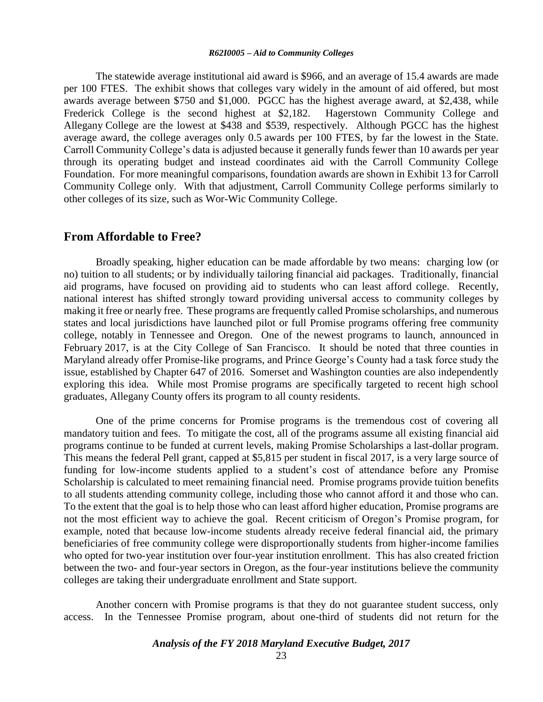The statewide average institutional aid award is \$966, and an average of 15.4 awards are made per 100 FTES. The exhibit shows that colleges vary widely in the amount of aid offered, but most awards average between \$750 and \$1,000. PGCC has the highest average award, at \$2,438, while Frederick College is the second highest at \$2,182. Hagerstown Community College and Allegany College are the lowest at \$438 and \$539, respectively. Although PGCC has the highest average award, the college averages only 0.5 awards per 100 FTES, by far the lowest in the State. Carroll Community College's data is adjusted because it generally funds fewer than 10 awards per year through its operating budget and instead coordinates aid with the Carroll Community College Foundation. For more meaningful comparisons, foundation awards are shown in Exhibit 13 for Carroll Community College only. With that adjustment, Carroll Community College performs similarly to other colleges of its size, such as Wor-Wic Community College.

### **From Affordable to Free?**

Broadly speaking, higher education can be made affordable by two means: charging low (or no) tuition to all students; or by individually tailoring financial aid packages. Traditionally, financial aid programs, have focused on providing aid to students who can least afford college. Recently, national interest has shifted strongly toward providing universal access to community colleges by making it free or nearly free. These programs are frequently called Promise scholarships, and numerous states and local jurisdictions have launched pilot or full Promise programs offering free community college, notably in Tennessee and Oregon. One of the newest programs to launch, announced in February 2017, is at the City College of San Francisco. It should be noted that three counties in Maryland already offer Promise-like programs, and Prince George's County had a task force study the issue, established by Chapter 647 of 2016. Somerset and Washington counties are also independently exploring this idea. While most Promise programs are specifically targeted to recent high school graduates, Allegany County offers its program to all county residents.

One of the prime concerns for Promise programs is the tremendous cost of covering all mandatory tuition and fees. To mitigate the cost, all of the programs assume all existing financial aid programs continue to be funded at current levels, making Promise Scholarships a last-dollar program. This means the federal Pell grant, capped at \$5,815 per student in fiscal 2017, is a very large source of funding for low-income students applied to a student's cost of attendance before any Promise Scholarship is calculated to meet remaining financial need. Promise programs provide tuition benefits to all students attending community college, including those who cannot afford it and those who can. To the extent that the goal is to help those who can least afford higher education, Promise programs are not the most efficient way to achieve the goal. Recent criticism of Oregon's Promise program, for example, noted that because low-income students already receive federal financial aid, the primary beneficiaries of free community college were disproportionally students from higher-income families who opted for two-year institution over four-year institution enrollment. This has also created friction between the two- and four-year sectors in Oregon, as the four-year institutions believe the community colleges are taking their undergraduate enrollment and State support.

Another concern with Promise programs is that they do not guarantee student success, only access. In the Tennessee Promise program, about one-third of students did not return for the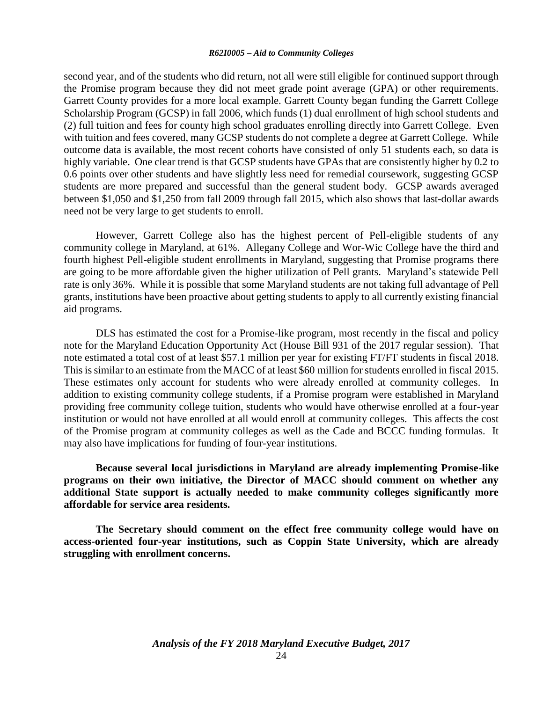second year, and of the students who did return, not all were still eligible for continued support through the Promise program because they did not meet grade point average (GPA) or other requirements. Garrett County provides for a more local example. Garrett County began funding the Garrett College Scholarship Program (GCSP) in fall 2006, which funds (1) dual enrollment of high school students and (2) full tuition and fees for county high school graduates enrolling directly into Garrett College. Even with tuition and fees covered, many GCSP students do not complete a degree at Garrett College. While outcome data is available, the most recent cohorts have consisted of only 51 students each, so data is highly variable. One clear trend is that GCSP students have GPAs that are consistently higher by 0.2 to 0.6 points over other students and have slightly less need for remedial coursework, suggesting GCSP students are more prepared and successful than the general student body. GCSP awards averaged between \$1,050 and \$1,250 from fall 2009 through fall 2015, which also shows that last-dollar awards need not be very large to get students to enroll.

However, Garrett College also has the highest percent of Pell-eligible students of any community college in Maryland, at 61%. Allegany College and Wor-Wic College have the third and fourth highest Pell-eligible student enrollments in Maryland, suggesting that Promise programs there are going to be more affordable given the higher utilization of Pell grants. Maryland's statewide Pell rate is only 36%. While it is possible that some Maryland students are not taking full advantage of Pell grants, institutions have been proactive about getting students to apply to all currently existing financial aid programs.

DLS has estimated the cost for a Promise-like program, most recently in the fiscal and policy note for the Maryland Education Opportunity Act (House Bill 931 of the 2017 regular session). That note estimated a total cost of at least \$57.1 million per year for existing FT/FT students in fiscal 2018. This is similar to an estimate from the MACC of at least \$60 million for students enrolled in fiscal 2015. These estimates only account for students who were already enrolled at community colleges. In addition to existing community college students, if a Promise program were established in Maryland providing free community college tuition, students who would have otherwise enrolled at a four-year institution or would not have enrolled at all would enroll at community colleges. This affects the cost of the Promise program at community colleges as well as the Cade and BCCC funding formulas. It may also have implications for funding of four-year institutions.

**Because several local jurisdictions in Maryland are already implementing Promise-like programs on their own initiative, the Director of MACC should comment on whether any additional State support is actually needed to make community colleges significantly more affordable for service area residents.** 

**The Secretary should comment on the effect free community college would have on access-oriented four-year institutions, such as Coppin State University, which are already struggling with enrollment concerns.**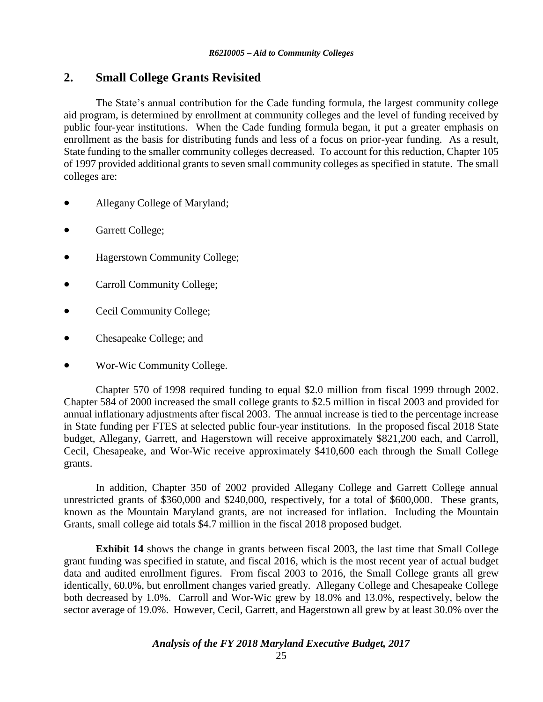## **2. Small College Grants Revisited**

The State's annual contribution for the Cade funding formula, the largest community college aid program, is determined by enrollment at community colleges and the level of funding received by public four-year institutions. When the Cade funding formula began, it put a greater emphasis on enrollment as the basis for distributing funds and less of a focus on prior-year funding. As a result, State funding to the smaller community colleges decreased. To account for this reduction, Chapter 105 of 1997 provided additional grants to seven small community colleges as specified in statute. The small colleges are:

- Allegany College of Maryland;
- Garrett College;
- Hagerstown Community College;
- Carroll Community College;
- Cecil Community College;
- Chesapeake College; and
- Wor-Wic Community College.

Chapter 570 of 1998 required funding to equal \$2.0 million from fiscal 1999 through 2002. Chapter 584 of 2000 increased the small college grants to \$2.5 million in fiscal 2003 and provided for annual inflationary adjustments after fiscal 2003. The annual increase is tied to the percentage increase in State funding per FTES at selected public four-year institutions. In the proposed fiscal 2018 State budget, Allegany, Garrett, and Hagerstown will receive approximately \$821,200 each, and Carroll, Cecil, Chesapeake, and Wor-Wic receive approximately \$410,600 each through the Small College grants.

In addition, Chapter 350 of 2002 provided Allegany College and Garrett College annual unrestricted grants of \$360,000 and \$240,000, respectively, for a total of \$600,000. These grants, known as the Mountain Maryland grants, are not increased for inflation. Including the Mountain Grants, small college aid totals \$4.7 million in the fiscal 2018 proposed budget.

**Exhibit 14** shows the change in grants between fiscal 2003, the last time that Small College grant funding was specified in statute, and fiscal 2016, which is the most recent year of actual budget data and audited enrollment figures. From fiscal 2003 to 2016, the Small College grants all grew identically, 60.0%, but enrollment changes varied greatly. Allegany College and Chesapeake College both decreased by 1.0%. Carroll and Wor-Wic grew by 18.0% and 13.0%, respectively, below the sector average of 19.0%. However, Cecil, Garrett, and Hagerstown all grew by at least 30.0% over the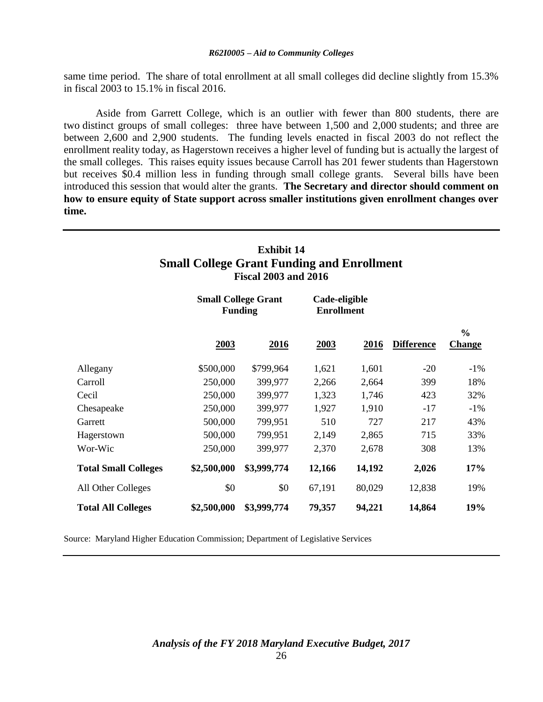same time period. The share of total enrollment at all small colleges did decline slightly from 15.3% in fiscal 2003 to 15.1% in fiscal 2016.

Aside from Garrett College, which is an outlier with fewer than 800 students, there are two distinct groups of small colleges: three have between 1,500 and 2,000 students; and three are between 2,600 and 2,900 students. The funding levels enacted in fiscal 2003 do not reflect the enrollment reality today, as Hagerstown receives a higher level of funding but is actually the largest of the small colleges. This raises equity issues because Carroll has 201 fewer students than Hagerstown but receives \$0.4 million less in funding through small college grants. Several bills have been introduced this session that would alter the grants. **The Secretary and director should comment on how to ensure equity of State support across smaller institutions given enrollment changes over time.**

### **Exhibit 14 Small College Grant Funding and Enrollment Fiscal 2003 and 2016**

|                             | <b>Small College Grant</b><br><b>Funding</b> |             |        | Cade-eligible<br><b>Enrollment</b> |                   |                                |  |
|-----------------------------|----------------------------------------------|-------------|--------|------------------------------------|-------------------|--------------------------------|--|
|                             | 2003                                         | 2016        | 2003   | 2016                               | <b>Difference</b> | $\frac{6}{6}$<br><b>Change</b> |  |
| Allegany                    | \$500,000                                    | \$799,964   | 1,621  | 1,601                              | $-20$             | $-1\%$                         |  |
| Carroll                     | 250,000                                      | 399,977     | 2,266  | 2,664                              | 399               | 18%                            |  |
| Cecil                       | 250,000                                      | 399,977     | 1,323  | 1,746                              | 423               | 32%                            |  |
| Chesapeake                  | 250,000                                      | 399,977     | 1,927  | 1,910                              | $-17$             | $-1\%$                         |  |
| Garrett                     | 500,000                                      | 799,951     | 510    | 727                                | 217               | 43%                            |  |
| Hagerstown                  | 500,000                                      | 799,951     | 2,149  | 2,865                              | 715               | 33%                            |  |
| Wor-Wic                     | 250,000                                      | 399,977     | 2,370  | 2,678                              | 308               | 13%                            |  |
| <b>Total Small Colleges</b> | \$2,500,000                                  | \$3,999,774 | 12,166 | 14,192                             | 2,026             | 17%                            |  |
| All Other Colleges          | \$0                                          | \$0         | 67,191 | 80,029                             | 12,838            | 19%                            |  |
| <b>Total All Colleges</b>   | \$2,500,000                                  | \$3,999,774 | 79,357 | 94,221                             | 14,864            | 19%                            |  |

Source: Maryland Higher Education Commission; Department of Legislative Services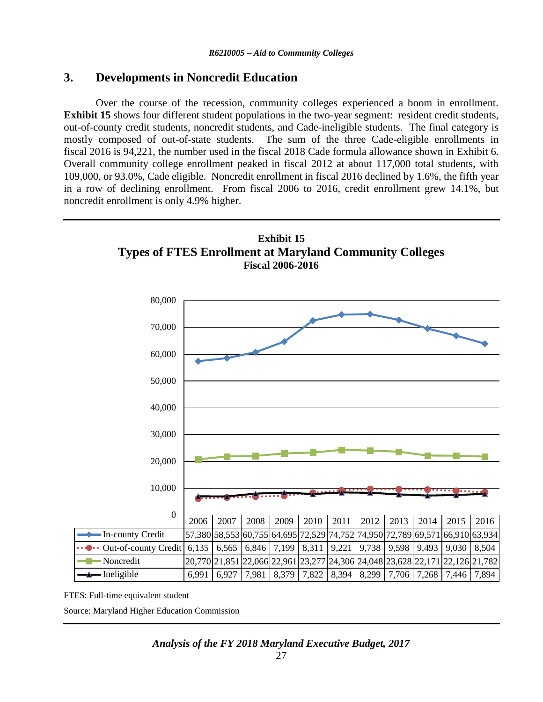# **3. Developments in Noncredit Education**

Over the course of the recession, community colleges experienced a boom in enrollment. **Exhibit 15** shows four different student populations in the two-year segment: resident credit students, out-of-county credit students, noncredit students, and Cade-ineligible students. The final category is mostly composed of out-of-state students. The sum of the three Cade-eligible enrollments in fiscal 2016 is 94,221, the number used in the fiscal 2018 Cade formula allowance shown in Exhibit 6. Overall community college enrollment peaked in fiscal 2012 at about 117,000 total students, with 109,000, or 93.0%, Cade eligible. Noncredit enrollment in fiscal 2016 declined by 1.6%, the fifth year in a row of declining enrollment. From fiscal 2006 to 2016, credit enrollment grew 14.1%, but noncredit enrollment is only 4.9% higher.



FTES: Full-time equivalent student

Source: Maryland Higher Education Commission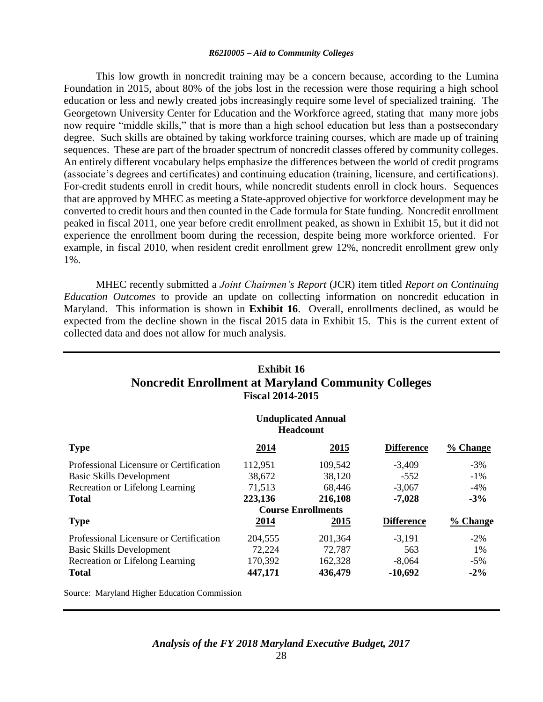This low growth in noncredit training may be a concern because, according to the Lumina Foundation in 2015, about 80% of the jobs lost in the recession were those requiring a high school education or less and newly created jobs increasingly require some level of specialized training. The Georgetown University Center for Education and the Workforce agreed, stating that many more jobs now require "middle skills," that is more than a high school education but less than a postsecondary degree. Such skills are obtained by taking workforce training courses, which are made up of training sequences. These are part of the broader spectrum of noncredit classes offered by community colleges. An entirely different vocabulary helps emphasize the differences between the world of credit programs (associate's degrees and certificates) and continuing education (training, licensure, and certifications). For-credit students enroll in credit hours, while noncredit students enroll in clock hours. Sequences that are approved by MHEC as meeting a State-approved objective for workforce development may be converted to credit hours and then counted in the Cade formula for State funding. Noncredit enrollment peaked in fiscal 2011, one year before credit enrollment peaked, as shown in Exhibit 15, but it did not experience the enrollment boom during the recession, despite being more workforce oriented. For example, in fiscal 2010, when resident credit enrollment grew 12%, noncredit enrollment grew only 1%.

MHEC recently submitted a *Joint Chairmen's Report* (JCR) item titled *Report on Continuing Education Outcomes* to provide an update on collecting information on noncredit education in Maryland. This information is shown in **Exhibit 16**. Overall, enrollments declined, as would be expected from the decline shown in the fiscal 2015 data in Exhibit 15. This is the current extent of collected data and does not allow for much analysis.

| <b>Exhibit 16</b><br><b>Noncredit Enrollment at Maryland Community Colleges</b><br><b>Fiscal 2014-2015</b> |             |                           |                   |                      |  |
|------------------------------------------------------------------------------------------------------------|-------------|---------------------------|-------------------|----------------------|--|
| <b>Unduplicated Annual</b><br><b>Headcount</b>                                                             |             |                           |                   |                      |  |
| <b>Type</b>                                                                                                | 2014        | 2015                      | <b>Difference</b> | % Change             |  |
| Professional Licensure or Certification                                                                    | 112,951     | 109,542                   | $-3,409$          | $-3\%$               |  |
| Basic Skills Development                                                                                   | 38,672      | 38,120                    | $-552$            | $-1\%$               |  |
| Recreation or Lifelong Learning                                                                            | 71,513      | 68,446                    | $-3,067$          | -4%                  |  |
| <b>Total</b>                                                                                               | 223,136     | 216,108                   | $-7,028$          | $-3%$                |  |
|                                                                                                            |             | <b>Course Enrollments</b> |                   |                      |  |
| <b>Type</b>                                                                                                | <u>2014</u> | <u>2015</u>               | <b>Difference</b> | $\frac{9}{6}$ Change |  |
| Professional Licensure or Certification                                                                    | 204,555     | 201,364                   | $-3,191$          | $-2\%$               |  |
| Basic Skills Development                                                                                   | 72,224      | 72,787                    | 563               | 1%                   |  |
| Recreation or Lifelong Learning                                                                            | 170,392     | 162,328                   | $-8,064$          | $-5\%$               |  |
| <b>Total</b>                                                                                               | 447,171     | 436,479                   | $-10,692$         | $-2\%$               |  |

Source: Maryland Higher Education Commission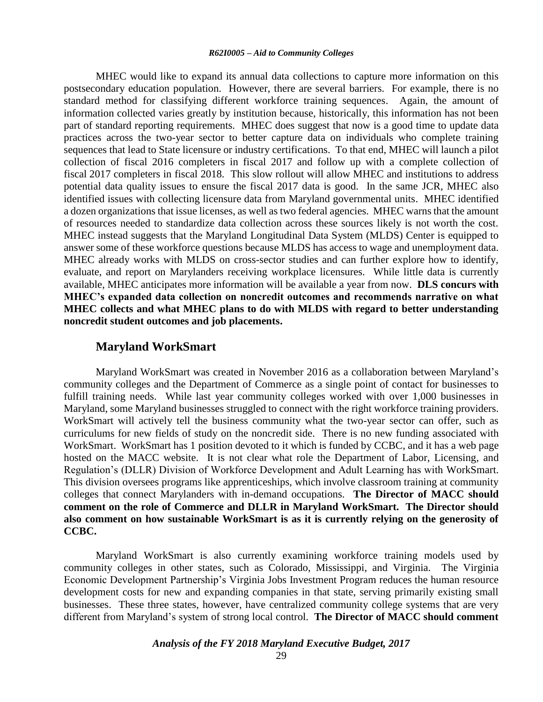MHEC would like to expand its annual data collections to capture more information on this postsecondary education population. However, there are several barriers. For example, there is no standard method for classifying different workforce training sequences. Again, the amount of information collected varies greatly by institution because, historically, this information has not been part of standard reporting requirements. MHEC does suggest that now is a good time to update data practices across the two-year sector to better capture data on individuals who complete training sequences that lead to State licensure or industry certifications. To that end, MHEC will launch a pilot collection of fiscal 2016 completers in fiscal 2017 and follow up with a complete collection of fiscal 2017 completers in fiscal 2018. This slow rollout will allow MHEC and institutions to address potential data quality issues to ensure the fiscal 2017 data is good. In the same JCR, MHEC also identified issues with collecting licensure data from Maryland governmental units. MHEC identified a dozen organizations that issue licenses, as well as two federal agencies. MHEC warns that the amount of resources needed to standardize data collection across these sources likely is not worth the cost. MHEC instead suggests that the Maryland Longitudinal Data System (MLDS) Center is equipped to answer some of these workforce questions because MLDS has access to wage and unemployment data. MHEC already works with MLDS on cross-sector studies and can further explore how to identify, evaluate, and report on Marylanders receiving workplace licensures. While little data is currently available, MHEC anticipates more information will be available a year from now. **DLS concurs with MHEC's expanded data collection on noncredit outcomes and recommends narrative on what MHEC collects and what MHEC plans to do with MLDS with regard to better understanding noncredit student outcomes and job placements.**

### **Maryland WorkSmart**

Maryland WorkSmart was created in November 2016 as a collaboration between Maryland's community colleges and the Department of Commerce as a single point of contact for businesses to fulfill training needs. While last year community colleges worked with over 1,000 businesses in Maryland, some Maryland businesses struggled to connect with the right workforce training providers. WorkSmart will actively tell the business community what the two-year sector can offer, such as curriculums for new fields of study on the noncredit side. There is no new funding associated with WorkSmart. WorkSmart has 1 position devoted to it which is funded by CCBC, and it has a web page hosted on the MACC website. It is not clear what role the Department of Labor, Licensing, and Regulation's (DLLR) Division of Workforce Development and Adult Learning has with WorkSmart. This division oversees programs like apprenticeships, which involve classroom training at community colleges that connect Marylanders with in-demand occupations. **The Director of MACC should comment on the role of Commerce and DLLR in Maryland WorkSmart. The Director should also comment on how sustainable WorkSmart is as it is currently relying on the generosity of CCBC.**

Maryland WorkSmart is also currently examining workforce training models used by community colleges in other states, such as Colorado, Mississippi, and Virginia. The Virginia Economic Development Partnership's Virginia Jobs Investment Program reduces the human resource development costs for new and expanding companies in that state, serving primarily existing small businesses. These three states, however, have centralized community college systems that are very different from Maryland's system of strong local control. **The Director of MACC should comment**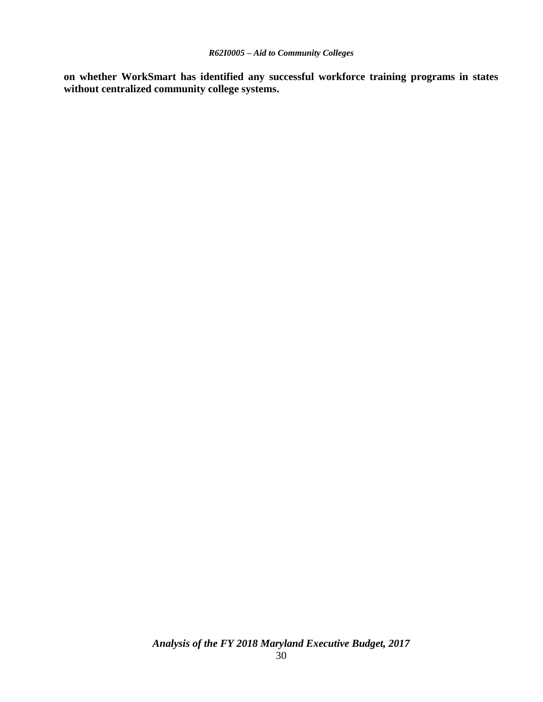**on whether WorkSmart has identified any successful workforce training programs in states without centralized community college systems.**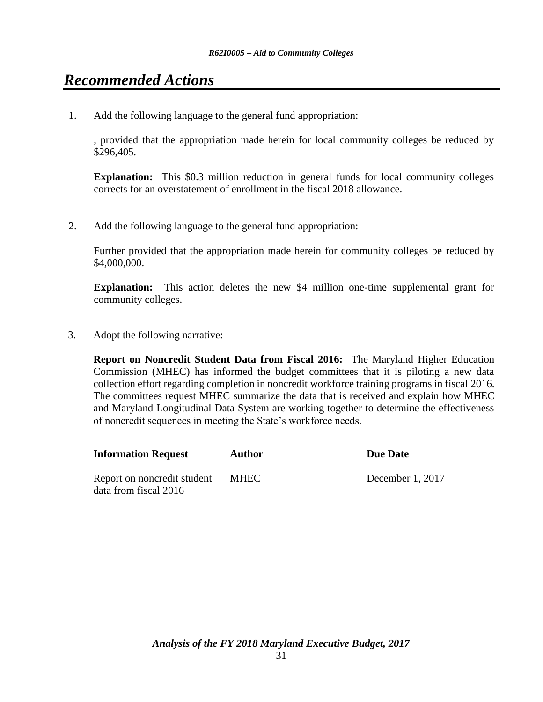# *Recommended Actions*

1. Add the following language to the general fund appropriation:

, provided that the appropriation made herein for local community colleges be reduced by \$296,405.

**Explanation:** This \$0.3 million reduction in general funds for local community colleges corrects for an overstatement of enrollment in the fiscal 2018 allowance.

2. Add the following language to the general fund appropriation:

Further provided that the appropriation made herein for community colleges be reduced by \$4,000,000.

**Explanation:** This action deletes the new \$4 million one-time supplemental grant for community colleges.

3. Adopt the following narrative:

**Report on Noncredit Student Data from Fiscal 2016:** The Maryland Higher Education Commission (MHEC) has informed the budget committees that it is piloting a new data collection effort regarding completion in noncredit workforce training programs in fiscal 2016. The committees request MHEC summarize the data that is received and explain how MHEC and Maryland Longitudinal Data System are working together to determine the effectiveness of noncredit sequences in meeting the State's workforce needs.

| <b>Information Request</b>                           | Author      | <b>Due Date</b>  |
|------------------------------------------------------|-------------|------------------|
| Report on noncredit student<br>data from fiscal 2016 | <b>MHEC</b> | December 1, 2017 |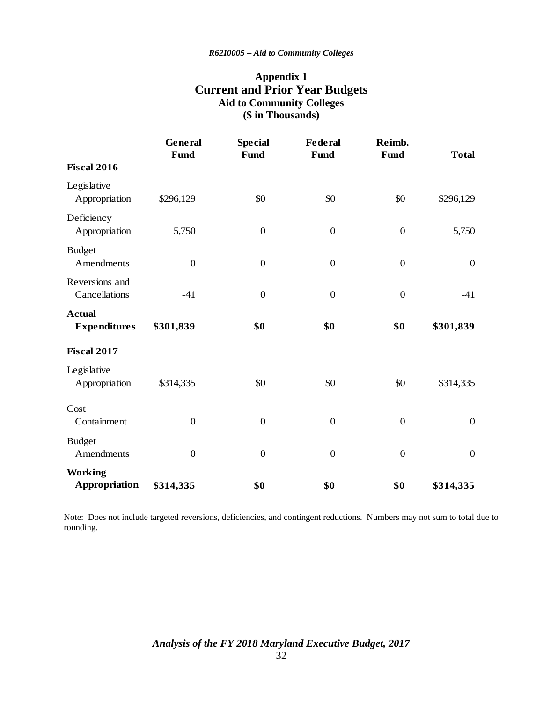# **Appendix 1 Current and Prior Year Budgets Aid to Community Colleges (\$ in Thousands)**

|                                        | General<br><b>Fund</b> | <b>Special</b><br><b>Fund</b> | <b>Federal</b><br><b>Fund</b> | Reimb.<br><b>Fund</b> | <b>Total</b>     |
|----------------------------------------|------------------------|-------------------------------|-------------------------------|-----------------------|------------------|
| <b>Fiscal 2016</b>                     |                        |                               |                               |                       |                  |
| Legislative<br>Appropriation           | \$296,129              | \$0                           | \$0                           | \$0                   | \$296,129        |
| Deficiency<br>Appropriation            | 5,750                  | $\boldsymbol{0}$              | $\boldsymbol{0}$              | $\boldsymbol{0}$      | 5,750            |
| <b>Budget</b><br>Amendments            | $\boldsymbol{0}$       | $\overline{0}$                | $\mathbf{0}$                  | $\boldsymbol{0}$      | $\boldsymbol{0}$ |
| Reversions and<br>Cancellations        | $-41$                  | $\boldsymbol{0}$              | $\mathbf{0}$                  | $\boldsymbol{0}$      | $-41$            |
| <b>Actual</b><br><b>Expenditures</b>   | \$301,839              | \$0                           | \$0                           | \$0                   | \$301,839        |
| <b>Fiscal 2017</b>                     |                        |                               |                               |                       |                  |
| Legislative<br>Appropriation           | \$314,335              | \$0                           | \$0                           | \$0                   | \$314,335        |
| Cost<br>Containment                    | $\boldsymbol{0}$       | $\boldsymbol{0}$              | $\boldsymbol{0}$              | $\boldsymbol{0}$      | $\boldsymbol{0}$ |
| <b>Budget</b><br>Amendments            | $\overline{0}$         | $\overline{0}$                | $\mathbf{0}$                  | $\overline{0}$        | $\boldsymbol{0}$ |
| <b>Working</b><br><b>Appropriation</b> | \$314,335              | \$0                           | \$0                           | \$0                   | \$314,335        |

Note: Does not include targeted reversions, deficiencies, and contingent reductions. Numbers may not sum to total due to rounding.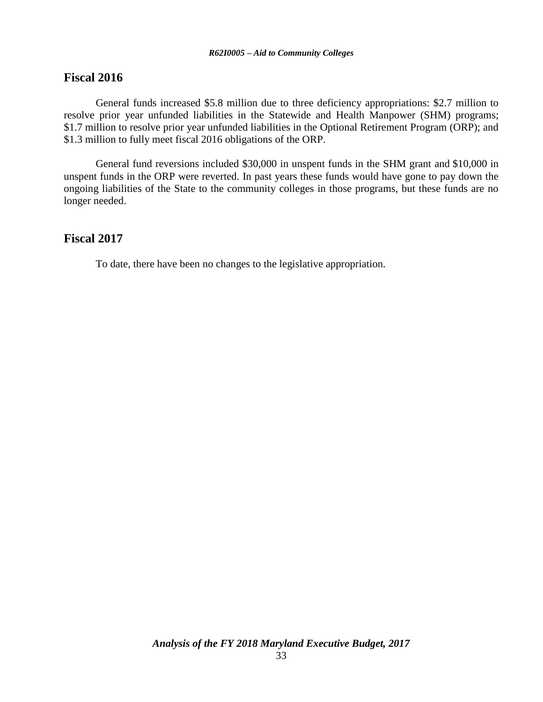## **Fiscal 2016**

General funds increased \$5.8 million due to three deficiency appropriations: \$2.7 million to resolve prior year unfunded liabilities in the Statewide and Health Manpower (SHM) programs; \$1.7 million to resolve prior year unfunded liabilities in the Optional Retirement Program (ORP); and \$1.3 million to fully meet fiscal 2016 obligations of the ORP.

General fund reversions included \$30,000 in unspent funds in the SHM grant and \$10,000 in unspent funds in the ORP were reverted. In past years these funds would have gone to pay down the ongoing liabilities of the State to the community colleges in those programs, but these funds are no longer needed.

# **Fiscal 2017**

To date, there have been no changes to the legislative appropriation.